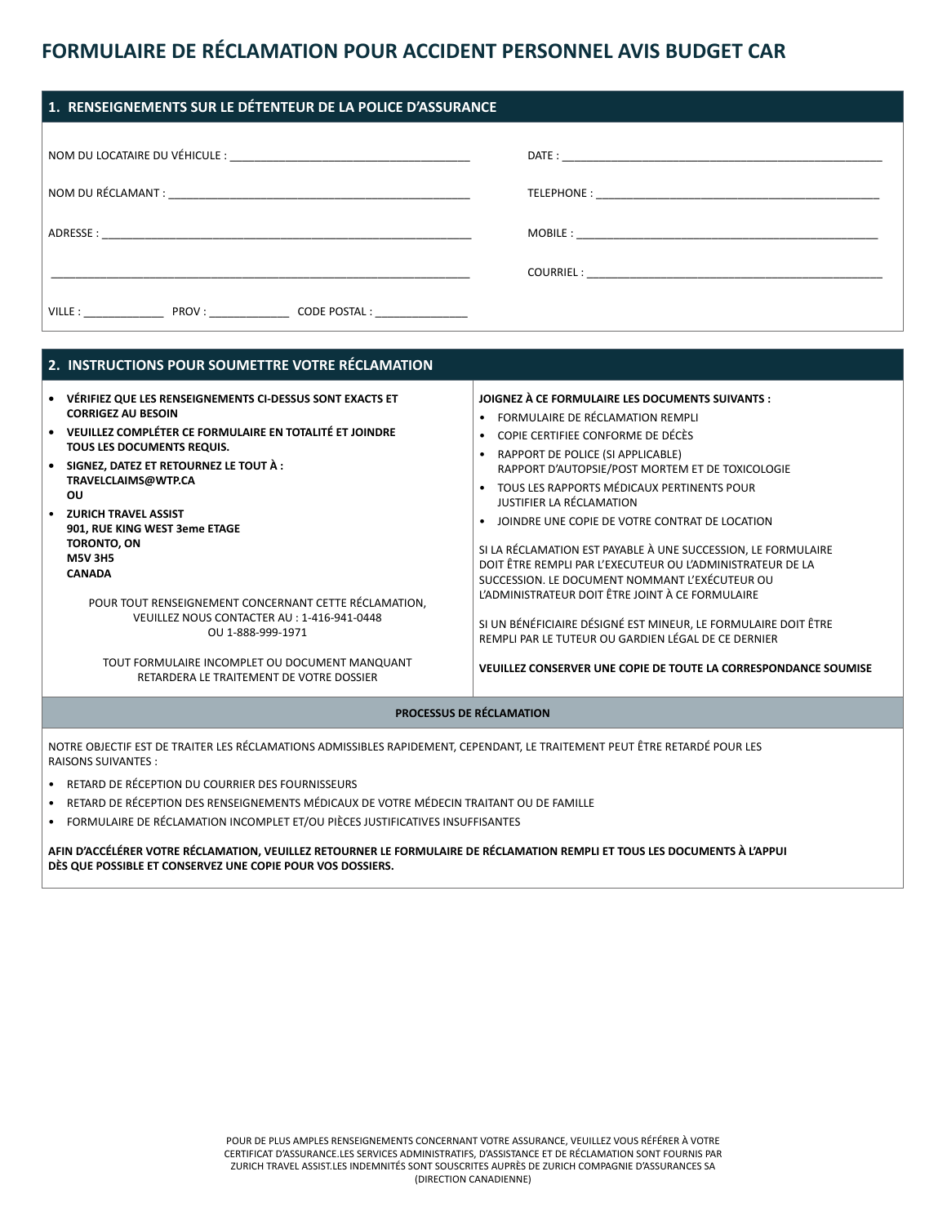## **FORMULAIRE DE RÉCLAMATION POUR ACCIDENT PERSONNEL AVIS BUDGET CAR**

| 1. RENSEIGNEMENTS SUR LE DÉTENTEUR DE LA POLICE D'ASSURANCE |  |  |  |  |
|-------------------------------------------------------------|--|--|--|--|
|                                                             |  |  |  |  |
|                                                             |  |  |  |  |
|                                                             |  |  |  |  |
|                                                             |  |  |  |  |
| VILLE : PROV : CODE POSTAL :                                |  |  |  |  |

| 2. INSTRUCTIONS POUR SOUMETTRE VOTRE RÉCLAMATION                                                                                                                                                                                                                                                                                                                                                                                                                                                                                                                                                  |                                                                                                                                                                                                                                                                                                                                                                                                                                                                                                                                                                                                                                                                                                                                                                                                                  |  |  |  |
|---------------------------------------------------------------------------------------------------------------------------------------------------------------------------------------------------------------------------------------------------------------------------------------------------------------------------------------------------------------------------------------------------------------------------------------------------------------------------------------------------------------------------------------------------------------------------------------------------|------------------------------------------------------------------------------------------------------------------------------------------------------------------------------------------------------------------------------------------------------------------------------------------------------------------------------------------------------------------------------------------------------------------------------------------------------------------------------------------------------------------------------------------------------------------------------------------------------------------------------------------------------------------------------------------------------------------------------------------------------------------------------------------------------------------|--|--|--|
| VÉRIFIEZ QUE LES RENSEIGNEMENTS CI-DESSUS SONT EXACTS ET<br><b>CORRIGEZ AU BESOIN</b><br>VEUILLEZ COMPLÉTER CE FORMULAIRE EN TOTALITÉ ET JOINDRE<br>TOUS LES DOCUMENTS REQUIS.<br>SIGNEZ, DATEZ ET RETOURNEZ LE TOUT À :<br>TRAVELCLAIMS@WTP.CA<br>ΟU<br><b>ZURICH TRAVEL ASSIST</b><br>901, RUE KING WEST 3eme ETAGE<br>TORONTO, ON<br><b>M5V 3H5</b><br><b>CANADA</b><br>POUR TOUT RENSEIGNEMENT CONCERNANT CETTE RÉCLAMATION,<br>VEUILLEZ NOUS CONTACTER AU: 1-416-941-0448<br>OU 1-888-999-1971<br>TOUT FORMULAIRE INCOMPLET OU DOCUMENT MANQUANT<br>RETARDERA LE TRAITEMENT DE VOTRE DOSSIER | JOIGNEZ À CE FORMULAIRE LES DOCUMENTS SUIVANTS :<br>FORMULAIRE DE RÉCLAMATION REMPLI<br>COPIE CERTIFIEE CONFORME DE DÉCÈS<br>$\bullet$<br>RAPPORT DE POLICE (SI APPLICABLE)<br>$\bullet$<br>RAPPORT D'AUTOPSIE/POST MORTEM ET DE TOXICOLOGIE<br>TOUS LES RAPPORTS MÉDICAUX PERTINENTS POUR<br><b>JUSTIFIER LA RÉCLAMATION</b><br>JOINDRE UNE COPIE DE VOTRE CONTRAT DE LOCATION<br>SI LA RÉCLAMATION EST PAYABLE À UNE SUCCESSION, LE FORMULAIRE<br>DOIT ÊTRE REMPLI PAR L'EXECUTEUR OU L'ADMINISTRATEUR DE LA<br>SUCCESSION. LE DOCUMENT NOMMANT L'EXÉCUTEUR OU<br>L'ADMINISTRATEUR DOIT ÊTRE JOINT À CE FORMULAIRE<br>SI UN BÉNÉFICIAIRE DÉSIGNÉ EST MINEUR, LE FORMULAIRE DOIT ÊTRE<br>REMPLI PAR LE TUTEUR OU GARDIEN LÉGAL DE CE DERNIER<br>VEUILLEZ CONSERVER UNE COPIE DE TOUTE LA CORRESPONDANCE SOUMISE |  |  |  |
| <b>PROCESSUS DE RÉCLAMATION</b>                                                                                                                                                                                                                                                                                                                                                                                                                                                                                                                                                                   |                                                                                                                                                                                                                                                                                                                                                                                                                                                                                                                                                                                                                                                                                                                                                                                                                  |  |  |  |

NOTRE OBJECTIF EST DE TRAITER LES RÉCLAMATIONS ADMISSIBLES RAPIDEMENT, CEPENDANT, LE TRAITEMENT PEUT ÊTRE RETARDÉ POUR LES RAISONS SUIVANTES :

- RETARD DE RÉCEPTION DU COURRIER DES FOURNISSEURS
- RETARD DE RÉCEPTION DES RENSEIGNEMENTS MÉDICAUX DE VOTRE MÉDECIN TRAITANT OU DE FAMILLE
- FORMULAIRE DE RÉCLAMATION INCOMPLET ET/OU PIÈCES JUSTIFICATIVES INSUFFISANTES

### **AFIN D'ACCÉLÉRER VOTRE RÉCLAMATION, VEUILLEZ RETOURNER LE FORMULAIRE DE RÉCLAMATION REMPLI ET TOUS LES DOCUMENTS À L'APPUI DÈS QUE POSSIBLE ET CONSERVEZ UNE COPIE POUR VOS DOSSIERS.**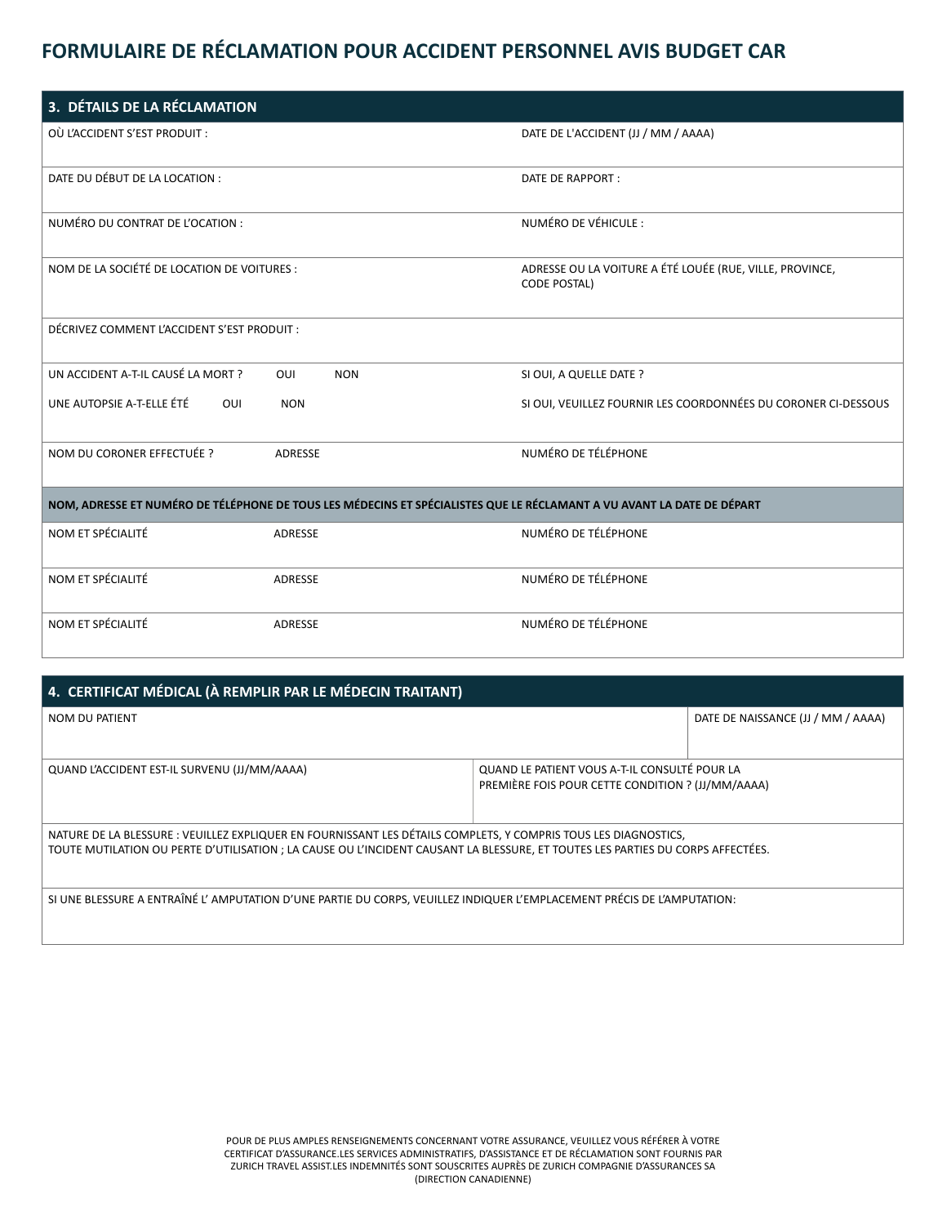# **FORMULAIRE DE RÉCLAMATION POUR ACCIDENT PERSONNEL AVIS BUDGET CAR**

| 3. DÉTAILS DE LA RÉCLAMATION                                                                                           |                                                                                 |  |  |  |  |
|------------------------------------------------------------------------------------------------------------------------|---------------------------------------------------------------------------------|--|--|--|--|
| OÙ L'ACCIDENT S'EST PRODUIT :                                                                                          | DATE DE L'ACCIDENT (JJ / MM / AAAA)                                             |  |  |  |  |
| DATE DU DÉBUT DE LA LOCATION :                                                                                         | DATE DE RAPPORT :                                                               |  |  |  |  |
| NUMÉRO DU CONTRAT DE L'OCATION :                                                                                       | NUMÉRO DE VÉHICULE :                                                            |  |  |  |  |
| NOM DE LA SOCIÉTÉ DE LOCATION DE VOITURES :                                                                            | ADRESSE OU LA VOITURE A ÉTÉ LOUÉE (RUE, VILLE, PROVINCE,<br><b>CODE POSTAL)</b> |  |  |  |  |
| DÉCRIVEZ COMMENT L'ACCIDENT S'EST PRODUIT :                                                                            |                                                                                 |  |  |  |  |
| UN ACCIDENT A-T-IL CAUSÉ LA MORT ?<br>OUI<br><b>NON</b>                                                                | SI OUI, A QUELLE DATE ?                                                         |  |  |  |  |
| UNE AUTOPSIE A-T-ELLE ÉTÉ<br>OUI<br><b>NON</b>                                                                         | SI OUI, VEUILLEZ FOURNIR LES COORDONNÉES DU CORONER CI-DESSOUS                  |  |  |  |  |
| NOM DU CORONER EFFECTUÉE ?<br>ADRESSE                                                                                  | NUMÉRO DE TÉLÉPHONE                                                             |  |  |  |  |
| NOM, ADRESSE ET NUMÉRO DE TÉLÉPHONE DE TOUS LES MÉDECINS ET SPÉCIALISTES QUE LE RÉCLAMANT A VU AVANT LA DATE DE DÉPART |                                                                                 |  |  |  |  |
| NOM ET SPÉCIALITÉ<br>ADRESSE                                                                                           | NUMÉRO DE TÉLÉPHONE                                                             |  |  |  |  |
| NOM ET SPÉCIALITÉ<br>ADRESSE                                                                                           | NUMÉRO DE TÉLÉPHONE                                                             |  |  |  |  |
| NOM ET SPÉCIALITÉ<br>ADRESSE                                                                                           | NUMÉRO DE TÉLÉPHONE                                                             |  |  |  |  |

| 4. CERTIFICAT MÉDICAL (À REMPLIR PAR LE MÉDECIN TRAITANT)                                                                                                                                                                                          |                                                                                                    |                                    |  |  |  |
|----------------------------------------------------------------------------------------------------------------------------------------------------------------------------------------------------------------------------------------------------|----------------------------------------------------------------------------------------------------|------------------------------------|--|--|--|
| <b>NOM DU PATIENT</b>                                                                                                                                                                                                                              |                                                                                                    | DATE DE NAISSANCE (JJ / MM / AAAA) |  |  |  |
| QUAND L'ACCIDENT EST-IL SURVENU (JJ/MM/AAAA)                                                                                                                                                                                                       | QUAND LE PATIENT VOUS A-T-IL CONSULTÉ POUR LA<br>PREMIÈRE FOIS POUR CETTE CONDITION ? (JJ/MM/AAAA) |                                    |  |  |  |
| NATURE DE LA BLESSURE : VEUILLEZ EXPLIQUER EN FOURNISSANT LES DÉTAILS COMPLETS, Y COMPRIS TOUS LES DIAGNOSTICS,<br>TOUTE MUTILATION OU PERTE D'UTILISATION ; LA CAUSE OU L'INCIDENT CAUSANT LA BLESSURE, ET TOUTES LES PARTIES DU CORPS AFFECTÉES. |                                                                                                    |                                    |  |  |  |
| SI UNE BLESSURE A ENTRAÎNÉ L'AMPUTATION D'UNE PARTIE DU CORPS, VEUILLEZ INDIQUER L'EMPLACEMENT PRÉCIS DE L'AMPUTATION:                                                                                                                             |                                                                                                    |                                    |  |  |  |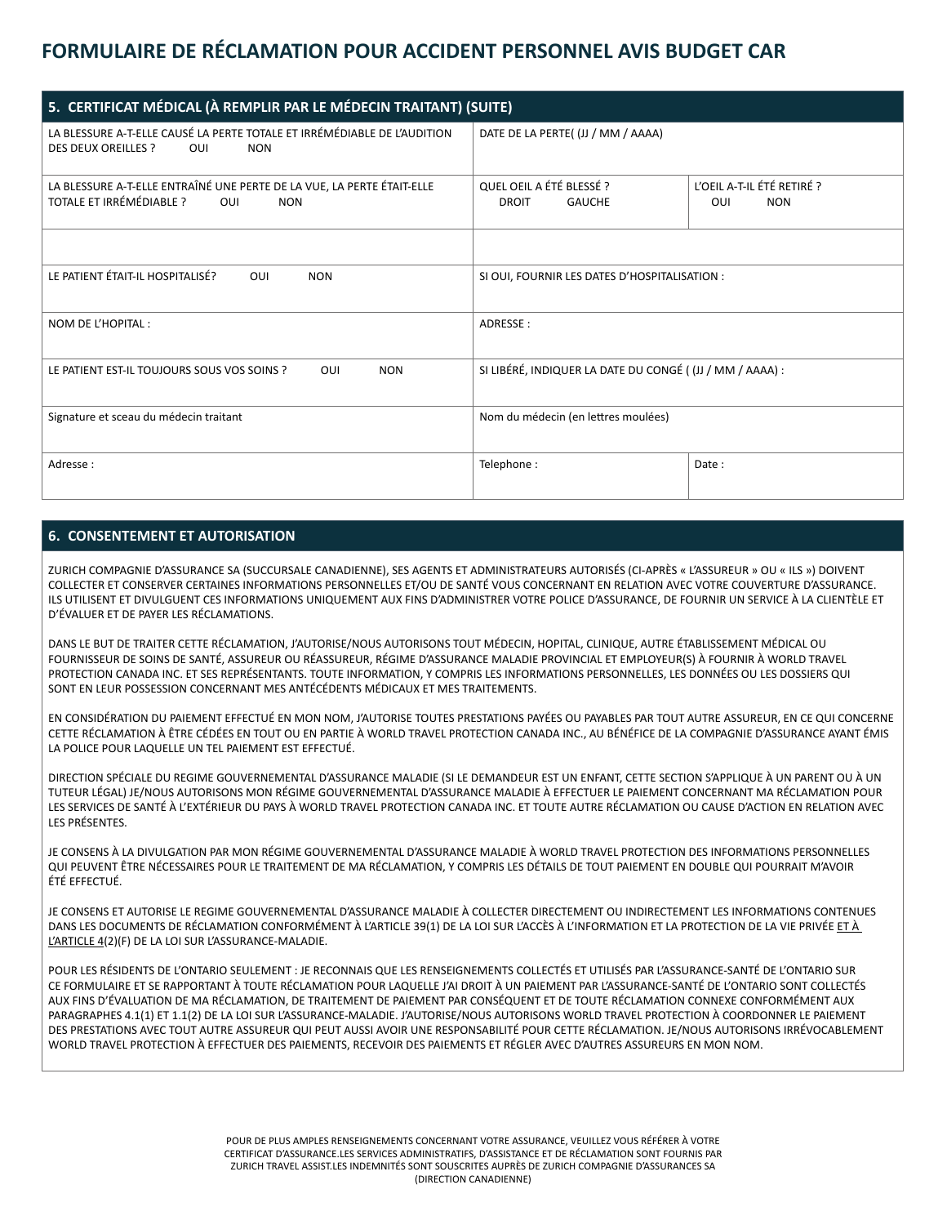## **FORMULAIRE DE RÉCLAMATION POUR ACCIDENT PERSONNEL AVIS BUDGET CAR**

| 5. CERTIFICAT MÉDICAL (À REMPLIR PAR LE MÉDECIN TRAITANT) (SUITE)                                                           |                                                           |                                                 |  |  |  |
|-----------------------------------------------------------------------------------------------------------------------------|-----------------------------------------------------------|-------------------------------------------------|--|--|--|
| LA BLESSURE A-T-ELLE CAUSÉ LA PERTE TOTALE ET IRRÉMÉDIABLE DE L'AUDITION<br><b>DES DEUX OREILLES ?</b><br>OUI<br><b>NON</b> | DATE DE LA PERTE((JJ / MM / AAAA)                         |                                                 |  |  |  |
| LA BLESSURE A-T-ELLE ENTRAÎNÉ UNE PERTE DE LA VUE, LA PERTE ÉTAIT-ELLE<br>TOTALE ET IRRÉMÉDIABLE ?<br>OUI<br><b>NON</b>     | QUEL OEIL A ÉTÉ BLESSÉ ?<br><b>DROIT</b><br><b>GAUCHE</b> | L'OEIL A-T-IL ÉTÉ RETIRÉ ?<br><b>NON</b><br>OUI |  |  |  |
|                                                                                                                             |                                                           |                                                 |  |  |  |
| LE PATIENT ÉTAIT-IL HOSPITALISÉ?<br>OUI<br><b>NON</b>                                                                       | SI OUI, FOURNIR LES DATES D'HOSPITALISATION :             |                                                 |  |  |  |
| NOM DE L'HOPITAL :                                                                                                          | ADRESSE:                                                  |                                                 |  |  |  |
| LE PATIENT EST-IL TOUJOURS SOUS VOS SOINS ?<br>OUI<br><b>NON</b>                                                            | SI LIBÉRÉ, INDIQUER LA DATE DU CONGÉ ((JJ / MM / AAAA) :  |                                                 |  |  |  |
| Signature et sceau du médecin traitant                                                                                      | Nom du médecin (en lettres moulées)                       |                                                 |  |  |  |
| Adresse:                                                                                                                    | Telephone:                                                | Date:                                           |  |  |  |

## **6. CONSENTEMENT ET AUTORISATION**

ZURICH COMPAGNIE D'ASSURANCE SA (SUCCURSALE CANADIENNE), SES AGENTS ET ADMINISTRATEURS AUTORISÉS (CI-APRÈS « L'ASSUREUR » OU « ILS ») DOIVENT COLLECTER ET CONSERVER CERTAINES INFORMATIONS PERSONNELLES ET/OU DE SANTÉ VOUS CONCERNANT EN RELATION AVEC VOTRE COUVERTURE D'ASSURANCE. ILS UTILISENT ET DIVULGUENT CES INFORMATIONS UNIQUEMENT AUX FINS D'ADMINISTRER VOTRE POLICE D'ASSURANCE, DE FOURNIR UN SERVICE À LA CLIENTÈLE ET D'ÉVALUER ET DE PAYER LES RÉCLAMATIONS.

DANS LE BUT DE TRAITER CETTE RÉCLAMATION, J'AUTORISE/NOUS AUTORISONS TOUT MÉDECIN, HOPITAL, CLINIQUE, AUTRE ÉTABLISSEMENT MÉDICAL OU FOURNISSEUR DE SOINS DE SANTÉ, ASSUREUR OU RÉASSUREUR, RÉGIME D'ASSURANCE MALADIE PROVINCIAL ET EMPLOYEUR(S) À FOURNIR À WORLD TRAVEL PROTECTION CANADA INC. ET SES REPRÉSENTANTS. TOUTE INFORMATION, Y COMPRIS LES INFORMATIONS PERSONNELLES, LES DONNÉES OU LES DOSSIERS QUI SONT EN LEUR POSSESSION CONCERNANT MES ANTÉCÉDENTS MÉDICAUX ET MES TRAITEMENTS.

EN CONSIDÉRATION DU PAIEMENT EFFECTUÉ EN MON NOM, J'AUTORISE TOUTES PRESTATIONS PAYÉES OU PAYABLES PAR TOUT AUTRE ASSUREUR, EN CE QUI CONCERNE CETTE RÉCLAMATION À ÊTRE CÉDÉES EN TOUT OU EN PARTIE À WORLD TRAVEL PROTECTION CANADA INC., AU BÉNÉFICE DE LA COMPAGNIE D'ASSURANCE AYANT ÉMIS LA POLICE POUR LAQUELLE UN TEL PAIEMENT EST EFFECTUÉ.

DIRECTION SPÉCIALE DU REGIME GOUVERNEMENTAL D'ASSURANCE MALADIE (SI LE DEMANDEUR EST UN ENFANT, CETTE SECTION S'APPLIQUE À UN PARENT OU À UN TUTEUR LÉGAL) JE/NOUS AUTORISONS MON RÉGIME GOUVERNEMENTAL D'ASSURANCE MALADIE À EFFECTUER LE PAIEMENT CONCERNANT MA RÉCLAMATION POUR LES SERVICES DE SANTÉ À L'EXTÉRIEUR DU PAYS À WORLD TRAVEL PROTECTION CANADA INC. ET TOUTE AUTRE RÉCLAMATION OU CAUSE D'ACTION EN RELATION AVEC LES PRÉSENTES.

JE CONSENS À LA DIVULGATION PAR MON RÉGIME GOUVERNEMENTAL D'ASSURANCE MALADIE À WORLD TRAVEL PROTECTION DES INFORMATIONS PERSONNELLES QUI PEUVENT ÊTRE NÉCESSAIRES POUR LE TRAITEMENT DE MA RÉCLAMATION, Y COMPRIS LES DÉTAILS DE TOUT PAIEMENT EN DOUBLE QUI POURRAIT M'AVOIR ÉTÉ EFFECTUÉ.

JE CONSENS ET AUTORISE LE REGIME GOUVERNEMENTAL D'ASSURANCE MALADIE À COLLECTER DIRECTEMENT OU INDIRECTEMENT LES INFORMATIONS CONTENUES DANS LES DOCUMENTS DE RÉCLAMATION CONFORMÉMENT À L'ARTICLE 39(1) DE LA LOI SUR L'ACCÈS À L'INFORMATION ET LA PROTECTION DE LA VIE PRIVÉE ET À L'ARTICLE 4(2)(F) DE LA LOI SUR L'ASSURANCE-MALADIE.

POUR LES RÉSIDENTS DE L'ONTARIO SEULEMENT : JE RECONNAIS QUE LES RENSEIGNEMENTS COLLECTÉS ET UTILISÉS PAR L'ASSURANCE-SANTÉ DE L'ONTARIO SUR CE FORMULAIRE ET SE RAPPORTANT À TOUTE RÉCLAMATION POUR LAQUELLE J'AI DROIT À UN PAIEMENT PAR L'ASSURANCE-SANTÉ DE L'ONTARIO SONT COLLECTÉS AUX FINS D'ÉVALUATION DE MA RÉCLAMATION, DE TRAITEMENT DE PAIEMENT PAR CONSÉQUENT ET DE TOUTE RÉCLAMATION CONNEXE CONFORMÉMENT AUX PARAGRAPHES 4.1(1) ET 1.1(2) DE LA LOI SUR L'ASSURANCE-MALADIE. J'AUTORISE/NOUS AUTORISONS WORLD TRAVEL PROTECTION À COORDONNER LE PAIEMENT DES PRESTATIONS AVEC TOUT AUTRE ASSUREUR QUI PEUT AUSSI AVOIR UNE RESPONSABILITÉ POUR CETTE RÉCLAMATION. JE/NOUS AUTORISONS IRRÉVOCABLEMENT WORLD TRAVEL PROTECTION À EFFECTUER DES PAIEMENTS, RECEVOIR DES PAIEMENTS ET RÉGLER AVEC D'AUTRES ASSUREURS EN MON NOM.